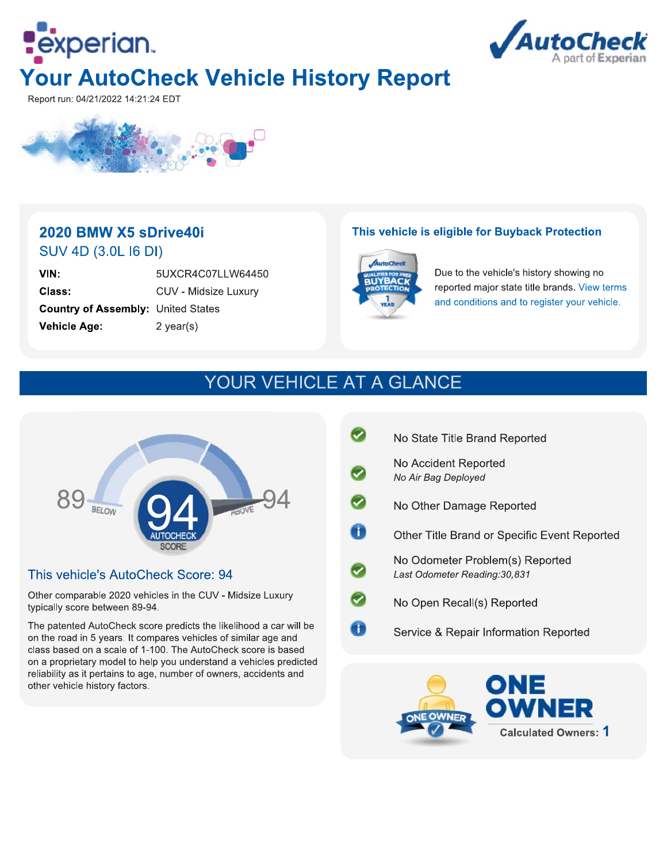



Report run: 04/21/2022 14:21:24 EDT



## 2020 BMW X5 sDrive40i **SUV 4D (3.0L 16 DI)**

| VIN:                                      | 5UXCR4C07LLW64450    |
|-------------------------------------------|----------------------|
| Class:                                    | CUV - Midsize Luxury |
| <b>Country of Assembly: United States</b> |                      |
| <b>Vehicle Age:</b>                       | $2$ year(s)          |
|                                           |                      |

### This vehicle is eligible for Buyback Protection



Due to the vehicle's history showing no reported major state title brands. View terms and conditions and to register your vehicle.

# YOUR VEHICLE AT A GLANCE



### This vehicle's AutoCheck Score: 94

Other comparable 2020 vehicles in the CUV - Midsize Luxury typically score between 89-94.

The patented AutoCheck score predicts the likelihood a car will be on the road in 5 years. It compares vehicles of similar age and class based on a scale of 1-100. The AutoCheck score is based on a proprietary model to help you understand a vehicles predicted reliability as it pertains to age, number of owners, accidents and other vehicle history factors.



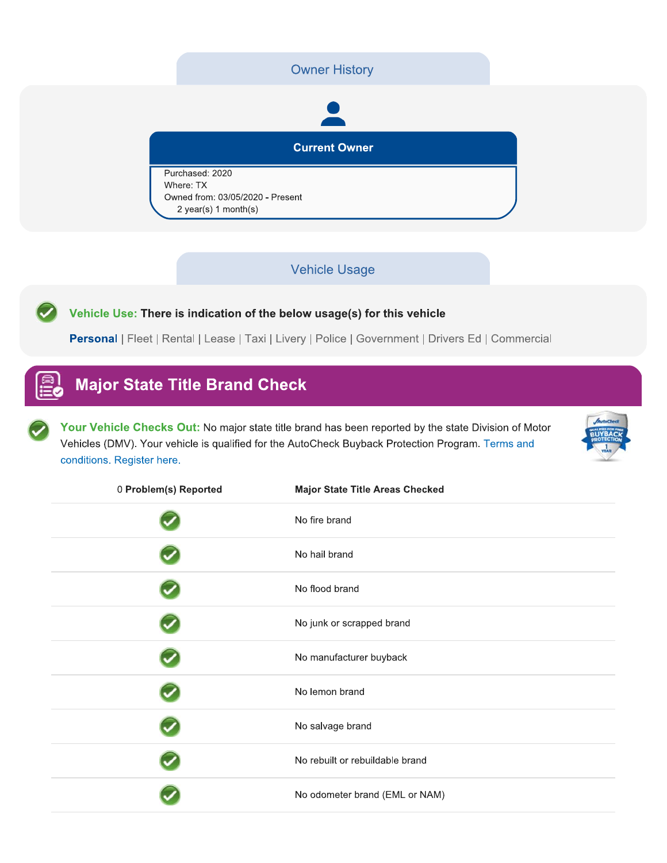

### **Vehicle Usage**

Vehicle Use: There is indication of the below usage(s) for this vehicle

Personal | Fleet | Rental | Lease | Taxi | Livery | Police | Government | Drivers Ed | Commercial

# **Major State Title Brand Check**

Your Vehicle Checks Out: No major state title brand has been reported by the state Division of Motor Vehicles (DMV). Your vehicle is qualified for the AutoCheck Buyback Protection Program. Terms and conditions. Register here.



| 0 Problem(s) Reported | <b>Major State Title Areas Checked</b> |
|-----------------------|----------------------------------------|
|                       | No fire brand                          |
|                       | No hail brand                          |
|                       | No flood brand                         |
|                       | No junk or scrapped brand              |
|                       | No manufacturer buyback                |
|                       | No lemon brand                         |
|                       | No salvage brand                       |
|                       | No rebuilt or rebuildable brand        |
|                       | No odometer brand (EML or NAM)         |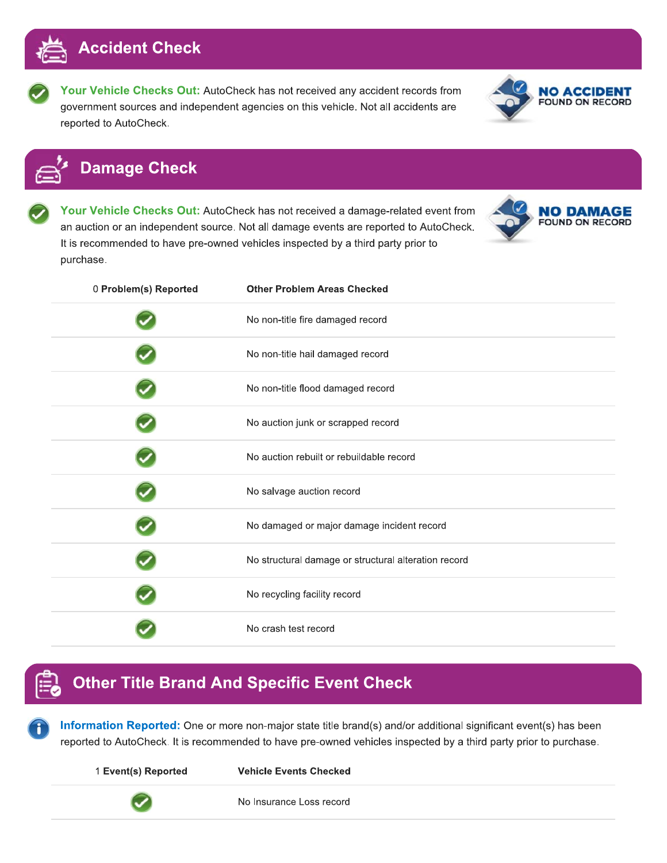

Your Vehicle Checks Out: AutoCheck has not received any accident records from government sources and independent agencies on this vehicle. Not all accidents are reported to AutoCheck.



**NO DAMAGE FOUND ON RECORD** 

# **Damage Check**

Your Vehicle Checks Out: AutoCheck has not received a damage-related event from an auction or an independent source. Not all damage events are reported to AutoCheck. It is recommended to have pre-owned vehicles inspected by a third party prior to purchase.

| 0 Problem(s) Reported | <b>Other Problem Areas Checked</b>                   |
|-----------------------|------------------------------------------------------|
|                       | No non-title fire damaged record                     |
|                       | No non-title hail damaged record                     |
|                       | No non-title flood damaged record                    |
|                       | No auction junk or scrapped record                   |
|                       | No auction rebuilt or rebuildable record             |
|                       | No salvage auction record                            |
|                       | No damaged or major damage incident record           |
|                       | No structural damage or structural alteration record |
|                       | No recycling facility record                         |
|                       | No crash test record                                 |

# **Other Title Brand And Specific Event Check**

Information Reported: One or more non-major state title brand(s) and/or additional significant event(s) has been reported to AutoCheck. It is recommended to have pre-owned vehicles inspected by a third party prior to purchase.

1 Event(s) Reported

**Vehicle Events Checked** 

No Insurance Loss record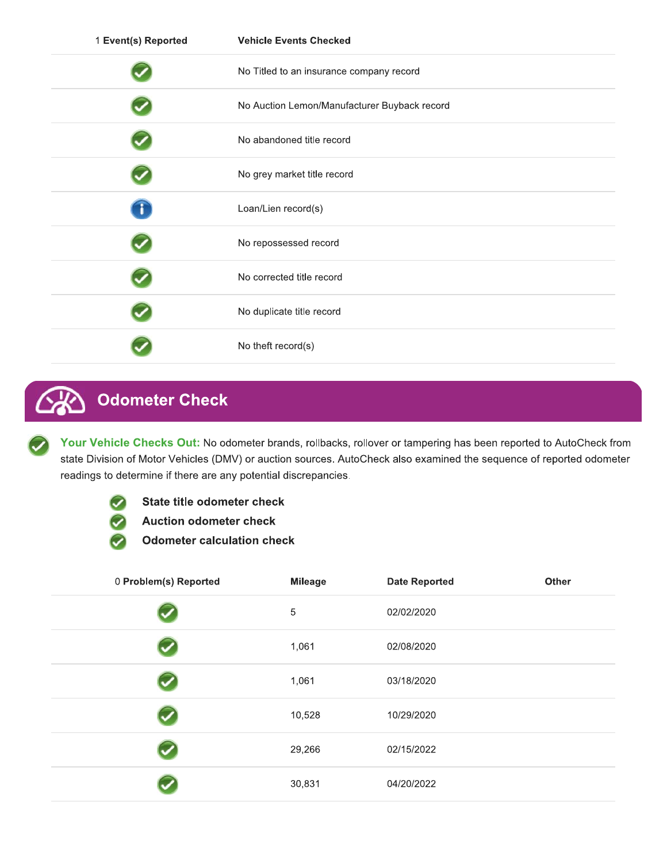| 1 Event(s) Reported | <b>Vehicle Events Checked</b>                |
|---------------------|----------------------------------------------|
|                     | No Titled to an insurance company record     |
|                     | No Auction Lemon/Manufacturer Buyback record |
|                     | No abandoned title record                    |
|                     | No grey market title record                  |
|                     | Loan/Lien record(s)                          |
|                     | No repossessed record                        |
|                     | No corrected title record                    |
|                     | No duplicate title record                    |
|                     | No theft record(s)                           |

# **Odometer Check**

Your Vehicle Checks Out: No odometer brands, rollbacks, rollover or tampering has been reported to AutoCheck from state Division of Motor Vehicles (DMV) or auction sources. AutoCheck also examined the sequence of reported odometer readings to determine if there are any potential discrepancies.

State title odometer check

**Auction odometer check** 

**Odometer calculation check** 

| 0 Problem(s) Reported |             | <b>Mileage</b> | <b>Date Reported</b> | Other |
|-----------------------|-------------|----------------|----------------------|-------|
|                       | $\,$ 5 $\,$ |                | 02/02/2020           |       |
|                       |             | 1,061          | 02/08/2020           |       |
|                       |             | 1,061          | 03/18/2020           |       |
|                       |             | 10,528         | 10/29/2020           |       |
|                       |             | 29,266         | 02/15/2022           |       |
|                       |             | 30,831         | 04/20/2022           |       |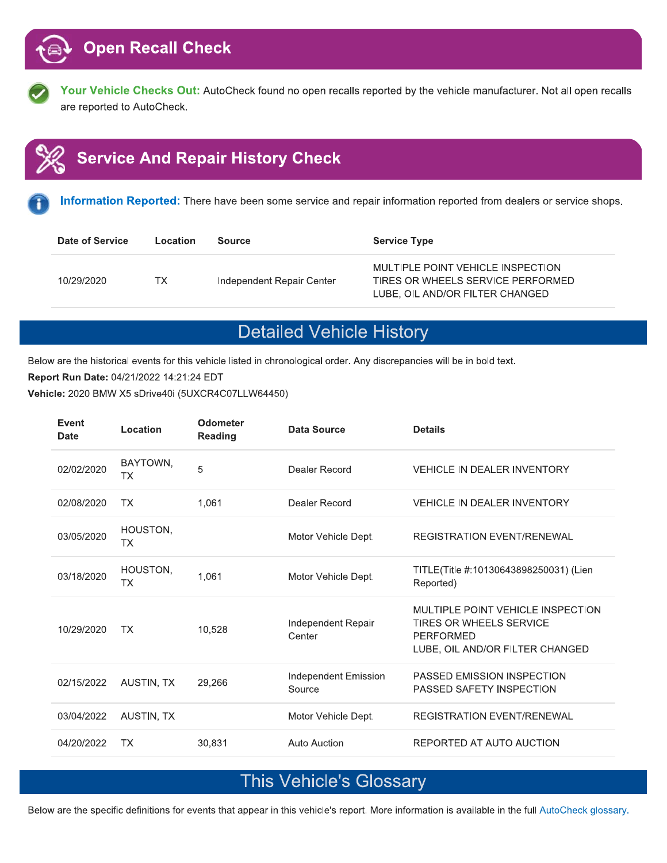

Your Vehicle Checks Out: AutoCheck found no open recalls reported by the vehicle manufacturer. Not all open recalls are reported to AutoCheck.

# **Service And Repair History Check**

Information Reported: There have been some service and repair information reported from dealers or service shops.

| Date of Service | Location | Source                    | <b>Service Type</b>                                                                                       |
|-----------------|----------|---------------------------|-----------------------------------------------------------------------------------------------------------|
| 10/29/2020      | ТX       | Independent Repair Center | MULTIPLE POINT VEHICLE INSPECTION<br>TIRES OR WHEELS SERVICE PERFORMED<br>LUBE, OIL AND/OR FILTER CHANGED |

## **Detailed Vehicle History**

Below are the historical events for this vehicle listed in chronological order. Any discrepancies will be in bold text.

Report Run Date: 04/21/2022 14:21:24 EDT

Vehicle: 2020 BMW X5 sDrive40i (5UXCR4C07LLW64450)

| Event<br><b>Date</b> | Location              | Odometer<br>Reading | Data Source                    | <b>Details</b>                                                                                                      |
|----------------------|-----------------------|---------------------|--------------------------------|---------------------------------------------------------------------------------------------------------------------|
| 02/02/2020           | BAYTOWN,<br>TX        | 5                   | Dealer Record                  | <b>VEHICLE IN DEALER INVENTORY</b>                                                                                  |
| 02/08/2020           | <b>TX</b>             | 1,061               | Dealer Record                  | <b>VEHICLE IN DEALER INVENTORY</b>                                                                                  |
| 03/05/2020           | HOUSTON,<br><b>TX</b> |                     | Motor Vehicle Dept.            | REGISTRATION EVENT/RENEWAL                                                                                          |
| 03/18/2020           | HOUSTON,<br><b>TX</b> | 1,061               | Motor Vehicle Dept.            | TITLE(Title #:10130643898250031) (Lien<br>Reported)                                                                 |
| 10/29/2020           | TX.                   | 10,528              | Independent Repair<br>Center   | MULTIPLE POINT VEHICLE INSPECTION<br>TIRES OR WHEELS SERVICE<br><b>PERFORMED</b><br>LUBE, OIL AND/OR FILTER CHANGED |
| 02/15/2022           | AUSTIN, TX            | 29,266              | Independent Emission<br>Source | PASSED EMISSION INSPECTION<br>PASSED SAFETY INSPECTION                                                              |
| 03/04/2022           | AUSTIN, TX            |                     | Motor Vehicle Dept.            | <b>REGISTRATION EVENT/RENEWAL</b>                                                                                   |
| 04/20/2022           | TX.                   | 30,831              | Auto Auction                   | REPORTED AT AUTO AUCTION                                                                                            |

## This Vehicle's Glossary

Below are the specific definitions for events that appear in this vehicle's report. More information is available in the full AutoCheck glossary.